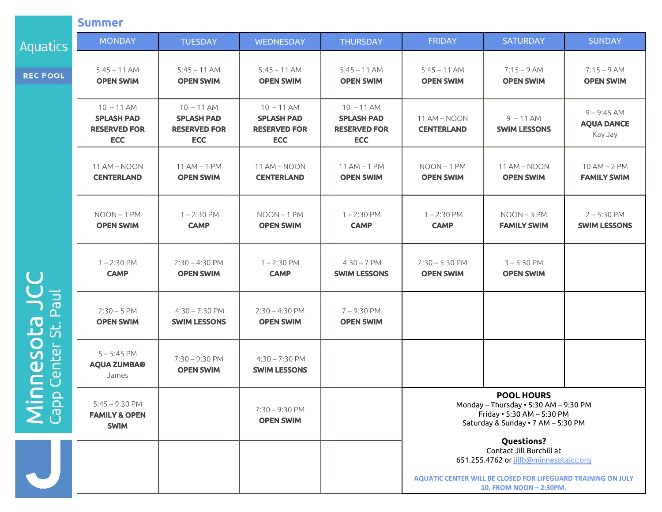|                 | <b>Summer</b>                                                          |                                                                        |                                                                        |                                                                        |                                                         |                                  |  |
|-----------------|------------------------------------------------------------------------|------------------------------------------------------------------------|------------------------------------------------------------------------|------------------------------------------------------------------------|---------------------------------------------------------|----------------------------------|--|
| Aquatics        | <b>MONDAY</b>                                                          | <b>TUESDAY</b>                                                         | <b>WEDNESDAY</b>                                                       | <b>THURSDAY</b>                                                        | <b>FRIDAY</b>                                           | SA                               |  |
| <b>REC POOL</b> | $5:45 - 11$ AM<br><b>OPEN SWIM</b>                                     | $5:45 - 11$ AM<br><b>OPEN SWIM</b>                                     | $5:45 - 11$ AM<br><b>OPEN SWIM</b>                                     | $5:45 - 11$ AM<br><b>OPEN SWIM</b>                                     | $5:45 - 11$ AM<br><b>OPEN SWIM</b>                      | 7:<br>OF                         |  |
|                 | $10 - 11$ AM<br><b>SPLASH PAD</b><br><b>RESERVED FOR</b><br><b>ECC</b> | $10 - 11$ AM<br><b>SPLASH PAD</b><br><b>RESERVED FOR</b><br><b>ECC</b> | $10 - 11$ AM<br><b>SPLASH PAD</b><br><b>RESERVED FOR</b><br><b>ECC</b> | $10 - 11$ AM<br><b>SPLASH PAD</b><br><b>RESERVED FOR</b><br><b>ECC</b> | 11 AM - NOON<br><b>CENTERLAND</b>                       | $\overline{9}$<br><b>SWII</b>    |  |
|                 | 11 AM - NOON<br><b>CENTERLAND</b>                                      | $11$ AM $-$ 1 PM<br><b>OPEN SWIM</b>                                   | 11 AM - NOON<br><b>CENTERLAND</b>                                      | $11$ AM $-$ 1 PM<br><b>OPEN SWIM</b>                                   | $NOON-1$ PM<br><b>OPEN SWIM</b>                         | 11A<br>OF                        |  |
| Paul            | NOON-1PM<br><b>OPEN SWIM</b>                                           | $1 - 2:30$ PM<br><b>CAMP</b>                                           | $NOON-1$ PM<br><b>OPEN SWIM</b>                                        | $1 - 2:30$ PM<br><b>CAMP</b>                                           | $1 - 2:30$ PM<br><b>CAMP</b>                            | <b>NO</b><br>FAN                 |  |
|                 | $1 - 2:30$ PM<br><b>CAMP</b>                                           | $2:30 - 4:30$ PM<br><b>OPEN SWIM</b>                                   | $1 - 2:30$ PM<br><b>CAMP</b>                                           | $4:30 - 7$ PM<br><b>SWIM LESSONS</b>                                   | $2:30 - 5:30$ PM<br><b>OPEN SWIM</b>                    | $3 -$<br>OF                      |  |
|                 | $2:30 - 5$ PM<br><b>OPEN SWIM</b>                                      | $4:30 - 7:30$ PM<br><b>SWIM LESSONS</b>                                | $2:30 - 4:30$ PM<br><b>OPEN SWIM</b>                                   | $7 - 9:30$ PM<br><b>OPEN SWIM</b>                                      |                                                         |                                  |  |
| Minnesota J     | $5 - 5:45$ PM<br><b>AQUA ZUMBA®</b><br>James                           | $7:30 - 9:30$ PM<br><b>OPEN SWIM</b>                                   | $4:30 - 7:30$ PM<br><b>SWIM LESSONS</b>                                |                                                                        |                                                         |                                  |  |
|                 | $5:45 - 9:30$ PM<br><b>FAMILY &amp; OPEN</b><br><b>SWIM</b>            |                                                                        | $7:30 - 9:30$ PM<br><b>OPEN SWIM</b>                                   |                                                                        | POO<br>Monday - Thurso<br>Friday . 5:<br>Saturday & Sur |                                  |  |
|                 |                                                                        |                                                                        |                                                                        |                                                                        |                                                         | Qu<br>Contacl<br>651.255.4762 or |  |
|                 |                                                                        |                                                                        |                                                                        |                                                                        | <b>AQUATIC CENTER WILL BE CLOS</b>                      | 10, FROM                         |  |